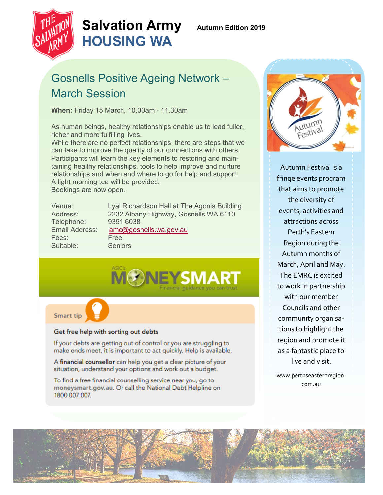

# **Salvation Army Autumn Edition 2019 HOUSING WA**

# Gosnells Positive Ageing Network – March Session

**When:** Friday 15 March, 10.00am - 11.30am

As human beings, healthy relationships enable us to lead fuller, richer and more fulfilling lives.

While there are no perfect relationships, there are steps that we can take to improve the quality of our connections with others. Participants will learn the key elements to restoring and maintaining healthy relationships, tools to help improve and nurture relationships and when and where to go for help and support. A light morning tea will be provided. Bookings are now open.

| Venue:         | Lyal Richardson Hall at The Agonis Building |
|----------------|---------------------------------------------|
| Address:       | 2232 Albany Highway, Gosnells WA 6110       |
| Telephone:     | 9391 6038                                   |
| Email Address: | amc@gosnells.wa.gov.au                      |
| Fees:          | Free                                        |
| Suitable:      | <b>Seniors</b>                              |



Smart tip

### Get free help with sorting out debts

If your debts are getting out of control or you are struggling to make ends meet, it is important to act quickly. Help is available.

A financial counsellor can help you get a clear picture of your situation, understand your options and work out a budget.

To find a free financial counselling service near you, go to moneysmart.gov.au. Or call the National Debt Helpline on 1800 007 007.



Autumn Festival is a fringe events program that aims to promote the diversity of events, activities and attractions across Perth's Eastern Region during the Autumn months of March, April and May. The EMRC is excited to work in partnership with our member Councils and other community organisations to highlight the region and promote it as a fantastic place to live and visit.

www.perthseasternregion. com.au